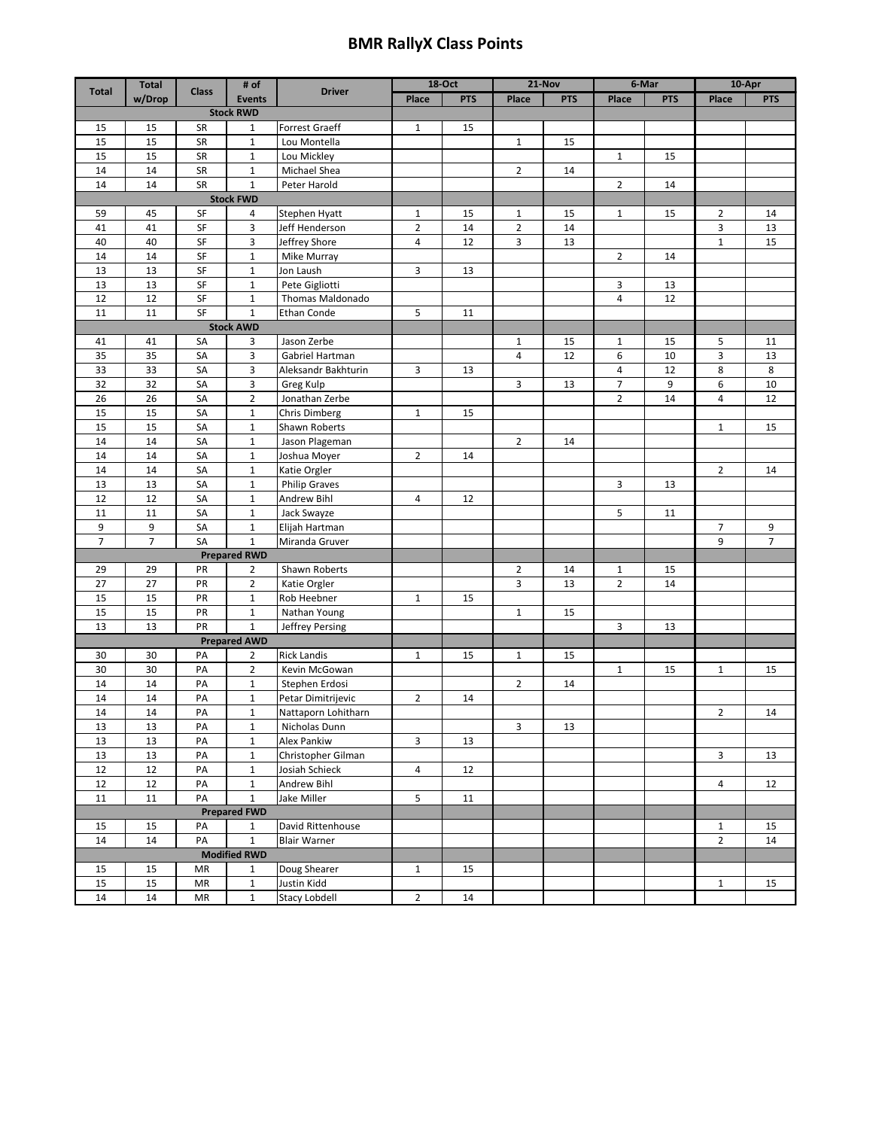## **BMR RallyX Class Points**

|                     | <b>Total</b>   |              | # of                |                      | 18-Oct         |            | 21-Nov         |            | 6-Mar          |            | 10-Apr         |                |
|---------------------|----------------|--------------|---------------------|----------------------|----------------|------------|----------------|------------|----------------|------------|----------------|----------------|
| <b>Total</b>        | w/Drop         | <b>Class</b> | <b>Events</b>       | <b>Driver</b>        | Place          | <b>PTS</b> | Place          | <b>PTS</b> | Place          | <b>PTS</b> | Place          | <b>PTS</b>     |
| <b>Stock RWD</b>    |                |              |                     |                      |                |            |                |            |                |            |                |                |
| 15                  | 15             | SR           | 1                   | Forrest Graeff       | $\mathbf{1}$   | 15         |                |            |                |            |                |                |
| 15                  | 15             | SR           | $\mathbf{1}$        | Lou Montella         |                |            | $\mathbf{1}$   | 15         |                |            |                |                |
| 15                  | 15             | SR           | $\mathbf{1}$        | Lou Mickley          |                |            |                |            | $\mathbf{1}$   | 15         |                |                |
| 14                  | 14             | SR           | $\mathbf{1}$        | Michael Shea         |                |            | $\overline{2}$ | 14         |                |            |                |                |
| 14                  | 14             | SR           | $\mathbf 1$         | Peter Harold         |                |            |                |            | 2              | 14         |                |                |
| <b>Stock FWD</b>    |                |              |                     |                      |                |            |                |            |                |            |                |                |
| 59                  | 45             | SF           | 4                   | Stephen Hyatt        | $\mathbf{1}$   | 15         | $\mathbf{1}$   | 15         | 1              | 15         | $\overline{2}$ | 14             |
| 41                  | 41             | SF           | 3                   | Jeff Henderson       | $\overline{2}$ | 14         | $\overline{2}$ | 14         |                |            | 3              | 13             |
| 40                  | 40             | SF           | 3                   | Jeffrey Shore        | 4              | 12         | 3              | 13         |                |            | $\mathbf{1}$   | 15             |
| 14                  | 14             | SF           | $\mathbf{1}$        | Mike Murray          |                |            |                |            | $\overline{2}$ | 14         |                |                |
| 13                  | 13             | SF           | $\mathbf 1$         | Jon Laush            | 3              | 13         |                |            |                |            |                |                |
| 13                  | 13             | SF           | $\mathbf 1$         | Pete Gigliotti       |                |            |                |            | 3              | 13         |                |                |
| 12                  | 12             | SF           | 1                   | Thomas Maldonado     |                |            |                |            | 4              | 12         |                |                |
| 11                  | 11             | SF           | $\mathbf{1}$        | Ethan Conde          | 5              | 11         |                |            |                |            |                |                |
|                     |                |              | <b>Stock AWD</b>    |                      |                |            |                |            |                |            |                |                |
| 41                  | 41             | SA           | 3                   | Jason Zerbe          |                |            | $\mathbf{1}$   | 15         | $\mathbf{1}$   | 15         | 5              | 11             |
| 35                  | 35             | SA           | 3                   | Gabriel Hartman      |                |            | 4              | 12         | 6              | 10         | 3              | 13             |
| 33                  | 33             | SA           | 3                   | Aleksandr Bakhturin  | 3              | 13         |                |            | 4              | 12         | 8              | 8              |
| 32                  | 32             | SA           | 3                   | Greg Kulp            |                |            | 3              | 13         | 7              | 9          | 6              | 10             |
| 26                  | 26             | SA           | $\overline{2}$      | Jonathan Zerbe       |                |            |                |            | 2              | 14         | 4              | 12             |
| 15                  | 15             | SA           | $\mathbf{1}$        | Chris Dimberg        | $\mathbf{1}$   | 15         |                |            |                |            |                |                |
| 15                  | 15             | SA           | $\mathbf{1}$        | Shawn Roberts        |                |            |                |            |                |            | $\mathbf{1}$   | 15             |
| 14                  | 14             | SA           | $\mathbf 1$         | Jason Plageman       |                |            | $\overline{2}$ | 14         |                |            |                |                |
| 14                  | 14             | SA           | $\mathbf 1$         | Joshua Moyer         | $\overline{2}$ | 14         |                |            |                |            |                |                |
| 14                  | 14             | SA           | $\mathbf{1}$        | Katie Orgler         |                |            |                |            |                |            | $\overline{2}$ | 14             |
| 13                  | 13             | SA           | $\mathbf{1}$        | <b>Philip Graves</b> |                |            |                |            | 3              | 13         |                |                |
| 12                  | 12             | SA           | $\mathbf 1$         | Andrew Bihl          | 4              | 12         |                |            |                |            |                |                |
| 11                  | 11             | SA           | $\mathbf{1}$        | Jack Swayze          |                |            |                |            | 5              | 11         |                |                |
| 9                   | 9              | SA           | $\mathbf 1$         | Elijah Hartman       |                |            |                |            |                |            | 7              | 9              |
| $\overline{7}$      | $\overline{7}$ | SA           | $\mathbf 1$         | Miranda Gruver       |                |            |                |            |                |            | 9              | $\overline{7}$ |
| <b>Prepared RWD</b> |                |              |                     |                      |                |            |                |            |                |            |                |                |
| 29                  | 29             | PR           | 2                   | Shawn Roberts        |                |            | 2              | 14         | 1              | 15         |                |                |
| 27                  | 27             | PR           | $\overline{2}$      | Katie Orgler         |                |            | 3              | 13         | $\overline{2}$ | 14         |                |                |
| 15                  | 15             | PR           | $\mathbf{1}$        | Rob Heebner          | $\mathbf{1}$   | 15         |                |            |                |            |                |                |
| 15                  | 15             | PR           | $\mathbf 1$         | Nathan Young         |                |            | $1\,$          | 15         |                |            |                |                |
| 13                  | 13             | PR           | $\mathbf 1$         | Jeffrey Persing      |                |            |                |            | 3              | 13         |                |                |
|                     |                |              | <b>Prepared AWD</b> |                      |                |            |                |            |                |            |                |                |
| 30                  | 30             | PA           | 2                   | <b>Rick Landis</b>   | $\mathbf{1}$   | 15         | $\mathbf{1}$   | 15         |                |            |                |                |
| 30                  | 30             | PA           | $\overline{2}$      | Kevin McGowan        |                |            |                |            | $1\,$          | 15         | $\mathbf{1}$   | 15             |
| 14                  | 14             | PA           | $\mathbf{1}$        | Stephen Erdosi       |                |            | $\overline{2}$ | 14         |                |            |                |                |
| 14                  | 14             | PA           | $\mathbf 1$         | Petar Dimitrijevic   | 2              | 14         |                |            |                |            |                |                |
| 14                  | 14             | PA           | $\mathbf 1$         | Nattaporn Lohitharn  |                |            |                |            |                |            | $\overline{2}$ | 14             |
| 13                  | 13             | PA           | $\mathbf{1}$        | Nicholas Dunn        |                |            | 3              | 13         |                |            |                |                |
| 13                  | 13             | PA           | $\mathbf 1$         | Alex Pankiw          | 3              | 13         |                |            |                |            |                |                |
| 13                  | 13             | PA           | $\mathbf 1$         | Christopher Gilman   |                |            |                |            |                |            | $\mathbf{3}$   | 13             |
| $12\,$              | 12             | PA           | $\mathbf{1}$        | Josiah Schieck       | 4              | 12         |                |            |                |            |                |                |
| 12                  | 12             | PA           | $\mathbf{1}$        | Andrew Bihl          |                |            |                |            |                |            | 4              | 12             |
| 11                  | 11             | PA           | $1\,$               | Jake Miller          | 5              | 11         |                |            |                |            |                |                |
| <b>Prepared FWD</b> |                |              |                     |                      |                |            |                |            |                |            |                |                |
| 15                  | 15             | PA           | $\mathbf{1}$        | David Rittenhouse    |                |            |                |            |                |            | $\mathbf{1}$   | 15             |
| 14                  | 14             | PA           | $1\,$               | <b>Blair Warner</b>  |                |            |                |            |                |            | $\overline{2}$ | 14             |
|                     |                |              | <b>Modified RWD</b> |                      |                |            |                |            |                |            |                |                |
| 15                  | 15             | MR           | $\mathbf{1}$        | Doug Shearer         | $\mathbf{1}$   | 15         |                |            |                |            |                |                |
| 15                  | 15             | ${\sf MR}$   | $\mathbf 1$         | Justin Kidd          |                |            |                |            |                |            | $\mathbf{1}$   | 15             |
| 14                  | 14             | ${\sf MR}$   | $\mathbf{1}$        | Stacy Lobdell        | $\overline{2}$ | 14         |                |            |                |            |                |                |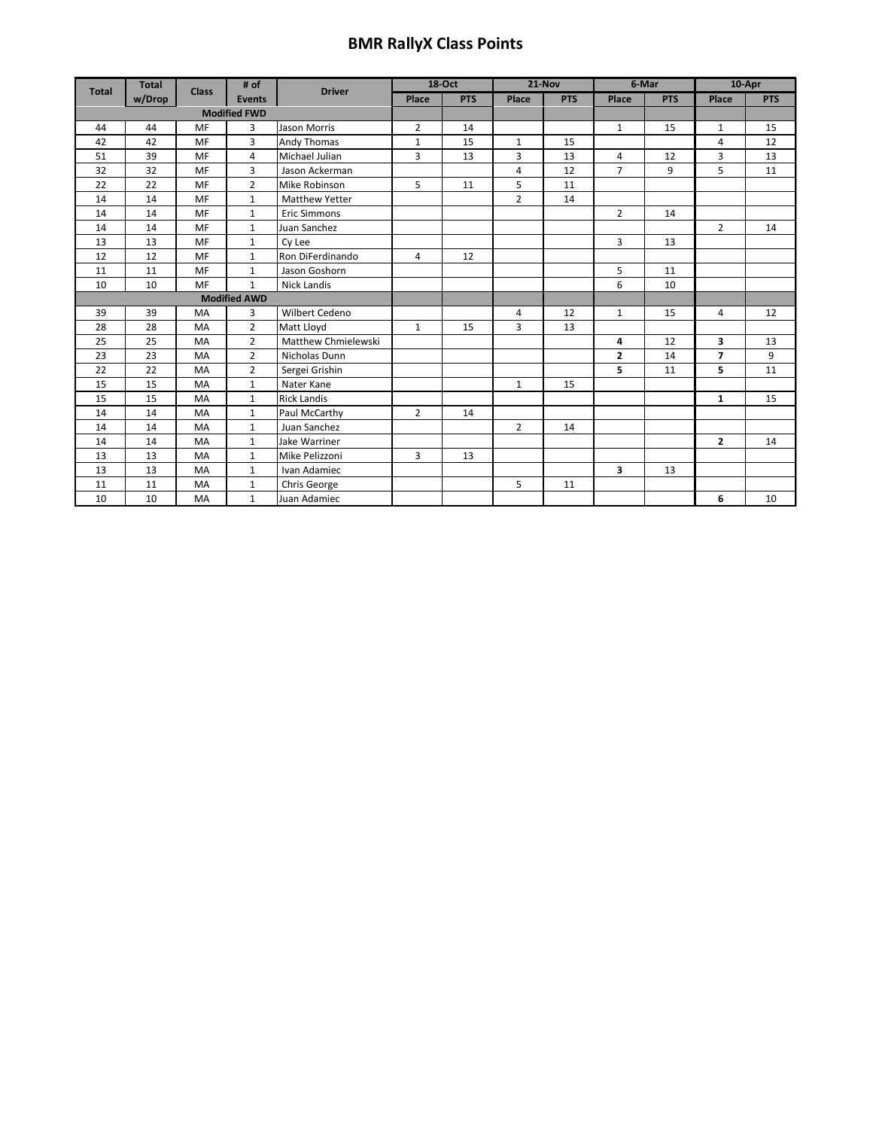## **BMR RallyX Class Points**

| <b>Total</b>        | <b>Total</b> | # of<br><b>Class</b><br><b>Events</b> |                | <b>Driver</b>         | 18-Oct         |       | 21-Nov         |       | 6-Mar          |       | 10-Apr         |    |
|---------------------|--------------|---------------------------------------|----------------|-----------------------|----------------|-------|----------------|-------|----------------|-------|----------------|----|
|                     | w/Drop       |                                       |                | Place                 | <b>PTS</b>     | Place | <b>PTS</b>     | Place | <b>PTS</b>     | Place | <b>PTS</b>     |    |
| <b>Modified FWD</b> |              |                                       |                |                       |                |       |                |       |                |       |                |    |
| 44                  | 44           | MF                                    | 3              | <b>Jason Morris</b>   | $\overline{2}$ | 14    |                |       | $\mathbf{1}$   | 15    | $\mathbf{1}$   | 15 |
| 42                  | 42           | MF                                    | 3              | Andy Thomas           | $\mathbf{1}$   | 15    | $\mathbf{1}$   | 15    |                |       | 4              | 12 |
| 51                  | 39           | MF                                    | 4              | Michael Julian        | $\overline{3}$ | 13    | 3              | 13    | 4              | 12    | 3              | 13 |
| 32                  | 32           | MF                                    | 3              | Jason Ackerman        |                |       | 4              | 12    | $\overline{7}$ | 9     | 5              | 11 |
| 22                  | 22           | MF                                    | $\overline{2}$ | Mike Robinson         | 5              | 11    | 5              | 11    |                |       |                |    |
| 14                  | 14           | MF                                    | $\mathbf{1}$   | <b>Matthew Yetter</b> |                |       | $\overline{2}$ | 14    |                |       |                |    |
| 14                  | 14           | MF                                    | $\mathbf{1}$   | <b>Eric Simmons</b>   |                |       |                |       | $\overline{2}$ | 14    |                |    |
| 14                  | 14           | MF                                    | $\mathbf{1}$   | Juan Sanchez          |                |       |                |       |                |       | $\overline{2}$ | 14 |
| 13                  | 13           | MF                                    | $\mathbf{1}$   | Cy Lee                |                |       |                |       | 3              | 13    |                |    |
| 12                  | 12           | MF                                    | $\mathbf{1}$   | Ron DiFerdinando      | $\overline{4}$ | 12    |                |       |                |       |                |    |
| 11                  | 11           | MF                                    | $\mathbf{1}$   | Jason Goshorn         |                |       |                |       | 5              | 11    |                |    |
| 10                  | 10           | MF                                    | $\mathbf{1}$   | <b>Nick Landis</b>    |                |       |                |       | 6              | 10    |                |    |
| <b>Modified AWD</b> |              |                                       |                |                       |                |       |                |       |                |       |                |    |
| 39                  | 39           | MA                                    | 3              | Wilbert Cedeno        |                |       | 4              | 12    | $\mathbf{1}$   | 15    | 4              | 12 |
| 28                  | 28           | MA                                    | $\overline{2}$ | Matt Lloyd            | $\mathbf{1}$   | 15    | 3              | 13    |                |       |                |    |
| 25                  | 25           | MA                                    | $\overline{2}$ | Matthew Chmielewski   |                |       |                |       | 4              | 12    | 3              | 13 |
| 23                  | 23           | MA                                    | $\overline{2}$ | Nicholas Dunn         |                |       |                |       | $\mathbf{z}$   | 14    | 7              | 9  |
| 22                  | 22           | MA                                    | $\overline{2}$ | Sergei Grishin        |                |       |                |       | 5              | 11    | 5              | 11 |
| 15                  | 15           | MA                                    | $\mathbf{1}$   | Nater Kane            |                |       | $\mathbf{1}$   | 15    |                |       |                |    |
| 15                  | 15           | MA                                    | $\mathbf{1}$   | <b>Rick Landis</b>    |                |       |                |       |                |       | $\mathbf{1}$   | 15 |
| 14                  | 14           | MA                                    | $\mathbf{1}$   | Paul McCarthy         | $\overline{2}$ | 14    |                |       |                |       |                |    |
| 14                  | 14           | MA                                    | $\mathbf{1}$   | Juan Sanchez          |                |       | $\overline{2}$ | 14    |                |       |                |    |
| 14                  | 14           | MA                                    | $\mathbf{1}$   | Jake Warriner         |                |       |                |       |                |       | $\mathbf{2}$   | 14 |
| 13                  | 13           | MA                                    | $\mathbf{1}$   | Mike Pelizzoni        | 3              | 13    |                |       |                |       |                |    |
| 13                  | 13           | MA                                    | $\mathbf{1}$   | Ivan Adamiec          |                |       |                |       | 3              | 13    |                |    |
| 11                  | 11           | MA                                    | $\mathbf{1}$   | Chris George          |                |       | 5              | 11    |                |       |                |    |
| 10                  | 10           | MA                                    | $\mathbf{1}$   | Juan Adamiec          |                |       |                |       |                |       | 6              | 10 |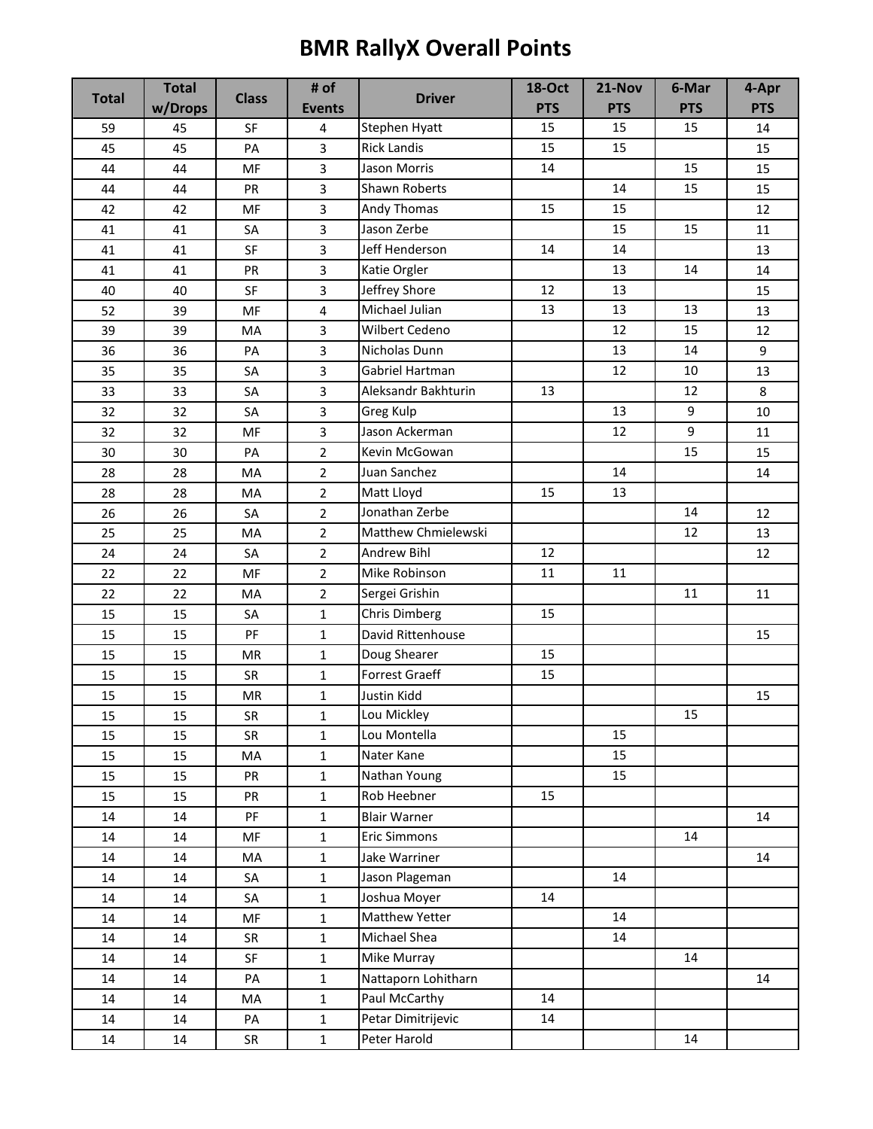## **BMR RallyX Overall Points**

|              | <b>Total</b> |              | # of                    |                      | <b>18-Oct</b> | 21-Nov     | 6-Mar      | 4-Apr      |
|--------------|--------------|--------------|-------------------------|----------------------|---------------|------------|------------|------------|
| <b>Total</b> | w/Drops      | <b>Class</b> | <b>Events</b>           | <b>Driver</b>        | <b>PTS</b>    | <b>PTS</b> | <b>PTS</b> | <b>PTS</b> |
| 59           | 45           | SF           | 4                       | Stephen Hyatt        | 15            | 15         | 15         | 14         |
| 45           | 45           | PA           | 3                       | <b>Rick Landis</b>   | 15            | 15         |            | 15         |
| 44           | 44           | MF           | 3                       | Jason Morris         | 14            |            | 15         | 15         |
| 44           | 44           | PR           | $\overline{3}$          | Shawn Roberts        |               | 14         | 15         | 15         |
| 42           | 42           | MF           | 3                       | Andy Thomas          | 15            | 15         |            | 12         |
| 41           | 41           | SA           | 3                       | Jason Zerbe          |               | 15         | 15         | 11         |
| 41           | 41           | SF           | 3                       | Jeff Henderson       | 14            | 14         |            | 13         |
| 41           | 41           | PR           | $\overline{3}$          | Katie Orgler         |               | 13         | 14         | 14         |
| 40           | 40           | SF           | 3                       | Jeffrey Shore        | 12            | 13         |            | 15         |
| 52           | 39           | MF           | $\overline{\mathbf{4}}$ | Michael Julian       | 13            | 13         | 13         | 13         |
| 39           | 39           | MA           | 3                       | Wilbert Cedeno       |               | 12         | 15         | 12         |
| 36           | 36           | PA           | $\overline{3}$          | Nicholas Dunn        |               | 13         | 14         | 9          |
| 35           | 35           | SA           | 3                       | Gabriel Hartman      |               | 12         | 10         | 13         |
| 33           | 33           | SA           | 3                       | Aleksandr Bakhturin  | 13            |            | 12         | 8          |
| 32           | 32           | SA           | $\mathbf{3}$            | Greg Kulp            |               | 13         | 9          | 10         |
| 32           | 32           | MF           | 3                       | Jason Ackerman       |               | 12         | 9          | 11         |
| 30           | 30           | PA           | $\overline{2}$          | Kevin McGowan        |               |            | 15         | 15         |
| 28           | 28           | MA           | $\overline{2}$          | Juan Sanchez         |               | 14         |            | 14         |
| 28           | 28           | MA           | $\overline{2}$          | Matt Lloyd           | 15            | 13         |            |            |
| 26           | 26           | SA           | $\overline{2}$          | Jonathan Zerbe       |               |            | 14         | 12         |
| 25           | 25           | MA           | $\overline{2}$          | Matthew Chmielewski  |               |            | 12         | 13         |
| 24           | 24           | SA           | $\overline{2}$          | Andrew Bihl          | 12            |            |            | 12         |
| 22           | 22           | MF           | $\overline{2}$          | Mike Robinson        | 11            | 11         |            |            |
| 22           | 22           | MA           | $\overline{2}$          | Sergei Grishin       |               |            | 11         | 11         |
| 15           | 15           | SA           | $\mathbf{1}$            | <b>Chris Dimberg</b> | 15            |            |            |            |
| 15           | 15           | PF           | $\mathbf{1}$            | David Rittenhouse    |               |            |            | 15         |
| 15           | 15           | <b>MR</b>    | $\mathbf{1}$            | Doug Shearer         | 15            |            |            |            |
| 15           | 15           | <b>SR</b>    | $\mathbf{1}$            | Forrest Graeff       | 15            |            |            |            |
| 15           | 15           | MR           | 1                       | Justin Kidd          |               |            |            | 15         |
| 15           | 15           | SR           | $\mathbf 1$             | Lou Mickley          |               |            | 15         |            |
| 15           | 15           | <b>SR</b>    | $\mathbf{1}$            | Lou Montella         |               | 15         |            |            |
| 15           | 15           | MA           | $\mathbf{1}$            | Nater Kane           |               | 15         |            |            |
| 15           | 15           | PR           | $\mathbf{1}$            | Nathan Young         |               | 15         |            |            |
| 15           | 15           | PR           | $\mathbf{1}$            | Rob Heebner          | 15            |            |            |            |
| 14           | 14           | PF           | $\mathbf{1}$            | <b>Blair Warner</b>  |               |            |            | 14         |
| 14           | 14           | MF           | $\mathbf{1}$            | <b>Eric Simmons</b>  |               |            | 14         |            |
| 14           | 14           | MA           | $\mathbf{1}$            | Jake Warriner        |               |            |            | 14         |
| 14           | 14           | SA           | $\mathbf{1}$            | Jason Plageman       |               | 14         |            |            |
| 14           | 14           | SA           | $\mathbf{1}$            | Joshua Moyer         | 14            |            |            |            |
| 14           | 14           | MF           | $\mathbf{1}$            | Matthew Yetter       |               | 14         |            |            |
| 14           | 14           | SR           | $\mathbf{1}$            | Michael Shea         |               | 14         |            |            |
| 14           | 14           | SF           | $\mathbf{1}$            | Mike Murray          |               |            | 14         |            |
| 14           | 14           | PA           | $\mathbf{1}$            | Nattaporn Lohitharn  |               |            |            | 14         |
| 14           | 14           | MA           | $\mathbf{1}$            | Paul McCarthy        | 14            |            |            |            |
| 14           | 14           | PA           | $\mathbf{1}$            | Petar Dimitrijevic   | 14            |            |            |            |
| 14           | 14           | SR           | $\mathbf{1}$            | Peter Harold         |               |            | 14         |            |